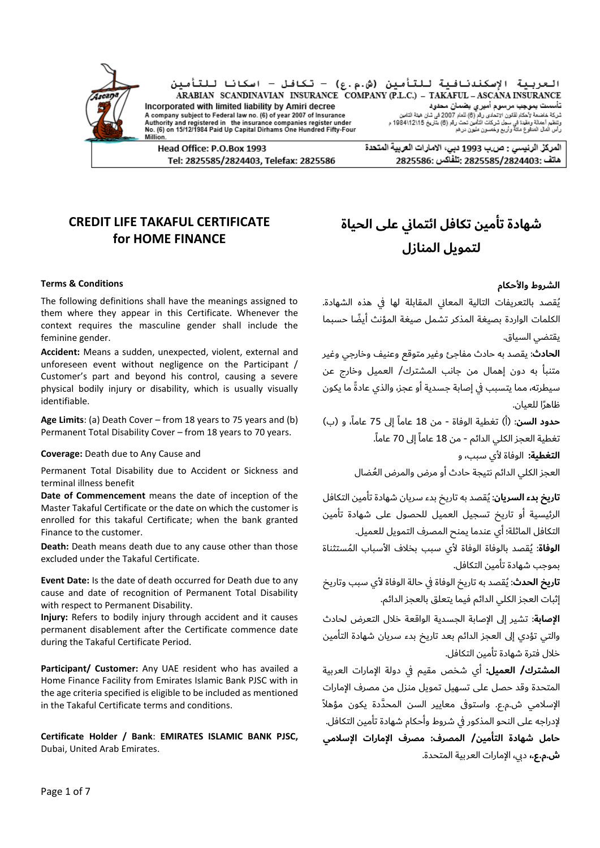

العربية الإسكندنافية للتأمين (ش.م.ع) - تكافل - اسكانا للتأمين ARABIAN SCANDINAVIAN INSURANCE COMPANY (P.L.C.) - TAKAFUL - ASCANA INSURANCE ست ۲۰۰۰ متحدث ۲۰۰۰ متحدث متحدث ست ست ۲۰۰۵ متحدث است که متحدث است که است که است که است که است که است که است که<br>تأسیسات بیموجید مرسوم آمیز بی وضعات است که عداد متحدث است که است که است که است که است که است که است که است که<br>و Incorporated with limited liability by Amiri decree A company subject to Federal law no. (6) of year 2007 of Insurance Authority and registered in the insurance companies register under<br>No. (6) on 15/12/1984 Paid Up Capital Dirhams One Hundred Fifty-Four

Head Office: P.O.Box 1993 Tel: 2825585/2824403, Telefax: 2825586 المركز الرنيسي : ص.ب 1993 دبي، الامارات العربية المتحدة 2825585/2824403: تَلْفَاكس :2825586

## **CREDIT LIFE TAKAFUL CERTIFICATE for HOME FINANCE**

Million

### **الشروط واألحكام Conditions & Terms**

The following definitions shall have the meanings assigned to them where they appear in this Certificate. Whenever the context requires the masculine gender shall include the feminine gender.

**Accident:** Means a sudden, unexpected, violent, external and unforeseen event without negligence on the Participant / Customer's part and beyond his control, causing a severe physical bodily injury or disability, which is usually visually identifiable.

**Age Limits**: (a) Death Cover – from 18 years to 75 years and (b) Permanent Total Disability Cover – from 18 years to 70 years.

**Coverage:** Death due to Any Cause and و ،سبب ألي الوفاة **:التغطية**

Permanent Total Disability due to Accident or Sickness and terminal illness benefit

**Date of Commencement** means the date of inception of the Master Takaful Certificate or the date on which the customer is enrolled for this takaful Certificate; when the bank granted Finance to the customer.

**Death:** Death means death due to any cause other than those excluded under the Takaful Certificate.

**Event Date:** Is the date of death occurred for Death due to any cause and date of recognition of Permanent Total Disability with respect to Permanent Disability.

**Injury:** Refers to bodily injury through accident and it causes permanent disablement after the Certificate commence date during the Takaful Certificate Period.

**Participant/ Customer:** Any UAE resident who has availed a Home Finance Facility from Emirates Islamic Bank PJSC with in the age criteria specified is eligible to be included as mentioned in the Takaful Certificate terms and conditions.

**Certificate Holder / Bank**: **EMIRATES ISLAMIC BANK PJSC,** Dubai, United Arab Emirates.

# **شهادة تأمين تكافل ائتماين على الحياة لتمويل المنازل**

ُيقصد بالتعريفات التالية المعاين المقابلة لها يف هذه الشهادة. الكلمات الواردة بصيغة المذكر تشمل صيغة المؤنث أيضًا حسبما يقتضي السياق.

**الحادث**: يقصد به حادث مفاجئ وغير متوقع وعنيف وخارجي وغير متنبأ به دون إهمال من جانب المشترك/ العميل وخارج عن سيطرته، مما يتسبب يف إصابة جسدية أو عجز، والذي عاد ًة ما يكون ظاهًرا للعيان.

**حدود السن**: (أ) تغطية الوفاة - من 18 عاماً إلى 75 عاماً، و (ب) . نغطية العجز الكلى الدائم - من 18 عاماً إلى 70 عاماً.

العجز الكلي الدائم نتيجة حادث أو مرض والمرض العُضال

**تاريخ بدء السريان**: ُيقصد به تاريخ بدء سريان شهادة تأمين التكافل الرئيسية أو تاريخ تسجيل العميل للحصول على شهادة تأمين التكافل الماثلة؛ أي عندما يمنح المصرف التمويل للعميل.

<mark>الوفاة</mark>: بُقصد بالوفاة الوفاة لأي سبب بخلاف الأسباب المُستثناة بموجب شهادة تأمين التكافل.

**تاريخ الحدث**: ُيقصد به تاريخ الوفاة يف حالة الوفاة ألي سبب وتاريخ إثبات العجز الكلي الدائم فيما يتعلق بالعجز الدائم.

**اإلصابة**: تشير إىل اإلصابة الجسدية الواقعة خالل التعرض لحادث والتي تؤدي إىل العجز الدائم بعد تاريخ بدء سريان شهادة التأمين خالل فترة شهادة تأمين التكافل.

**المشترك/ العميل:** أي شخص مقيم يف دولة اإلمارات العربية المتحدة وقد حصل على تسهيل تمويل منزل من مصرف اإلمارات الإسلامي ش.م.ع. واستوفى معايير السن المحدَّدة يكون مؤهلاً إلدراجه على النحو المذكور يف شروط وأحكام شهادة تأمين التكافل. **حامل شهادة التأمين/ المصرف: مصرف اإلمارات اإلسالمي**  .<br>**ش.م.ع.،** دبي، الإمارات العربية المتحدة.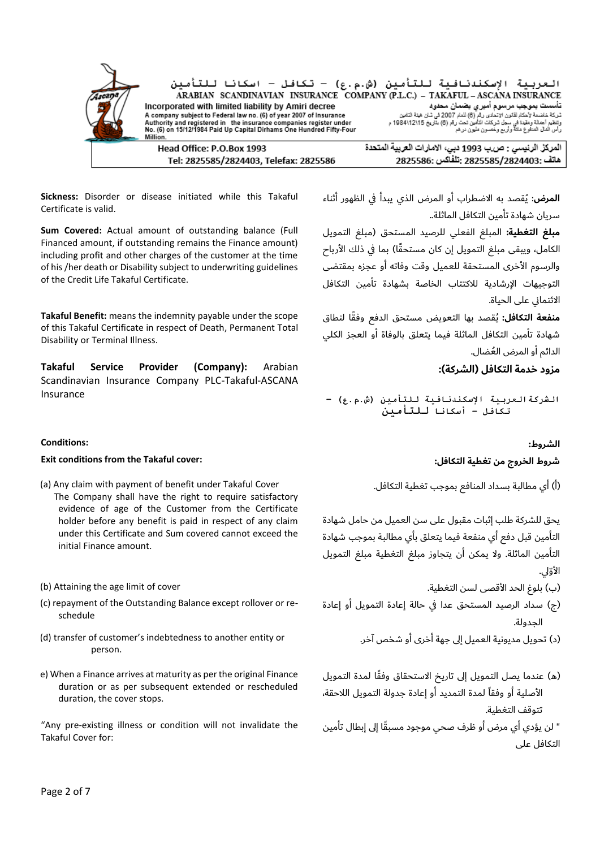

**Sickness:** Disorder or disease initiated while this Takaful Certificate is valid.

**Sum Covered:** Actual amount of outstanding balance (Full Financed amount, if outstanding remains the Finance amount) including profit and other charges of the customer at the time of his /her death or Disability subject to underwriting guidelines of the Credit Life Takaful Certificate.

**Takaful Benefit:** means the indemnity payable under the scope of this Takaful Certificate in respect of Death, Permanent Total Disability or Terminal Illness.

**Takaful Service Provider (Company):** Arabian Scandinavian Insurance Company PLC-Takaful-ASCANA Insurance

### **الشروط: :Conditions**

### **Exit conditions from the Takaful cover: :التكافل تغطية من الخروج شروط**

- (a) Any claim with payment of benefit under Takaful Cover The Company shall have the right to require satisfactory evidence of age of the Customer from the Certificate holder before any benefit is paid in respect of any claim under this Certificate and Sum covered cannot exceed the initial Finance amount.
- 
- (c) repayment of the Outstanding Balance except rollover or reschedule
- (d) transfer of customer's indebtedness to another entity or person.
- e) When a Finance arrives at maturity as per the original Finance duration or as per subsequent extended or rescheduled duration, the cover stops.

"Any pre-existing illness or condition will not invalidate the Takaful Cover for:

**المرض**: ُيقصد به االضطراب أو المرض الذي يبدأ يف الظهور أثناء سريان شهادة تأمين التكافل الماثلة..

**مبلغ التغطية:** المبلغ الفعلي للرصيد المستحق )مبلغ التمويل الكامل، ويبقى مبلغ التمويل إن كان مستحقًا) بما في ذلك الأرباح والرسوم الأخرى المستحقة للعميل وقت وفاته أو عجزه بمقتضى التوجيهات اإلرشادية لالكتتاب الخاصة بشهادة تأمين التكافل الائتماني على الحياة.

**منفعة التكافل:** ُيقصد بها التعويض مستحق الدفع وف ًقا لنطاق شهادة تأمين التكافل الماثلة فيما يتعلق بالوفاة أو العجز الكلي الدائم أو المرض العُضال.

### **مزود خدمة التكافل )الشركة(:**

**الشركةالعربية اإلسكندنافية للتأمين )ش.م.ع( – تكافل – أسكانا للتأمين**

)أ( أي مطالبة بسداد المنافع بموجب تغطية التكافل.

يحق للشركة طلب إثبات مقبول على سن العميل من حامل شهادة التأمين قبل دفع أي منفعة فيما يتعلق بأي مطالبة بموجب شهادة التأمين الماثلة. وال يمكن أن يتجاوز مبلغ التغطية مبلغ التمويل الأوّل.

(b) Attaining the age limit of cover .التغطية لسن األقصى الحد بلوغ( ب)

(ج) سداد الرصيد المستحق عدا في حالة إعادة التمويل أو إعادة الجدولة.

)د( تحويل مديونية العميل إىل جهة أخرى أو شخص آخر.

- (ه) عندما يصل التمويل إلى تاريخ الاستحقاق وفقًا لمدة التمويل الأصلية أو وفقاً لمدة التمديد أو إعادة جدولة التمويل اللاحقة، تتوقف التغطية.
- " لن يؤدي أي مرض أو ظرف صحي موجود مسبًقا إىل إبطال تأمين التكافل على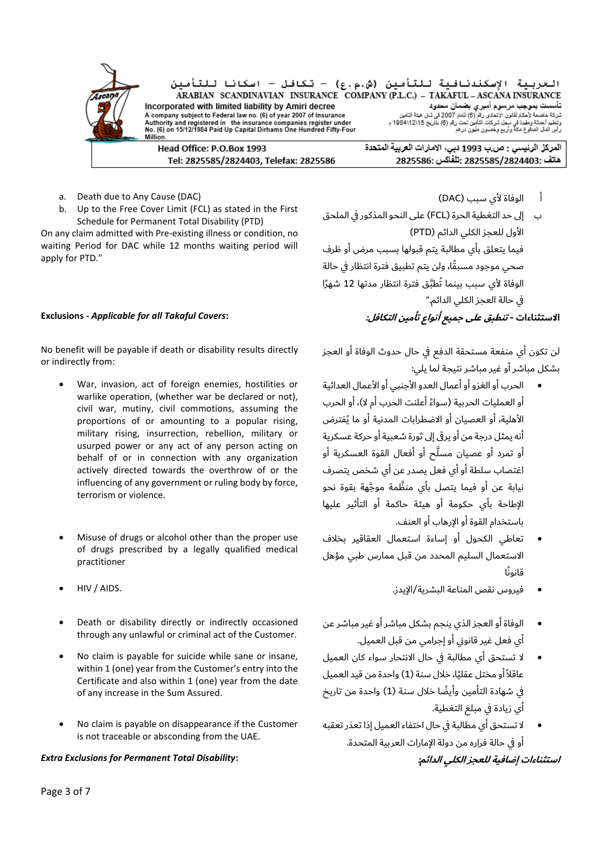| Ascana -<br><b>ST</b> | Incorporated with limited liability by Amiri decree                                                                                        | العربية الإسكندنافية للتأمين (ش.م.ع) - تكافل - اسكانا للتأمين<br>ARABIAN SCANDINAVIAN INSURANCE COMPANY (P.L.C.) - TAKAFUL - ASCANA INSURANCE<br>اتأسست بموجب مرسوم أميرى بضمان محدود |
|-----------------------|--------------------------------------------------------------------------------------------------------------------------------------------|---------------------------------------------------------------------------------------------------------------------------------------------------------------------------------------|
|                       | A company subject to Federal law no. (6) of year 2007 of Insurance                                                                         | شركة خاضعة لأحكاء لقانون الإتحادي رقم (6) للعام 2007 في شان هيئة التامين                                                                                                              |
|                       | Authority and registered in the insurance companies register under<br>No. (6) on 15/12/1984 Paid Up Capital Dirhams One Hundred Fifty-Four | وتنظيم أعمالة ومقيدة في سجل شركات التأمين تحت رقم (6) بتاريخ 12\12\1984م<br>رأس ألمال المتقوع مائة وأريح وخسون ملون درهر                                                              |
|                       | Million.                                                                                                                                   |                                                                                                                                                                                       |
|                       | Head Office: P.O.Box 1993                                                                                                                  | المركز الرنيسي : ص.ب 1993 دبي، الامارات العربية المتحدة                                                                                                                               |
|                       | Tel: 2825585/2824403, Telefax: 2825586                                                                                                     | 18225585/2824403; تلفاكس :2825586                                                                                                                                                     |

- a. Death due to Any Cause (DAC)
- b. Up to the Free Cover Limit (FCL) as stated in the First Schedule for Permanent Total Disability (PTD)

On any claim admitted with Pre-existing illness or condition, no waiting Period for DAC while 12 months waiting period will apply for PTD."

No benefit will be payable if death or disability results directly or indirectly from:

- War, invasion, act of foreign enemies, hostilities or warlike operation, (whether war be declared or not), civil war, mutiny, civil commotions, assuming the proportions of or amounting to a popular rising, military rising, insurrection, rebellion, military or usurped power or any act of any person acting on behalf of or in connection with any organization actively directed towards the overthrow of or the influencing of any government or ruling body by force, terrorism or violence.
- Misuse of drugs or alcohol other than the proper use of drugs prescribed by a legally qualified medical practitioner
- 
- Death or disability directly or indirectly occasioned through any unlawful or criminal act of the Customer.
- No claim is payable for suicide while sane or insane, within 1 (one) year from the Customer's entry into the Certificate and also within 1 (one) year from the date of any increase in the Sum Assured.
- No claim is payable on disappearance if the Customer is not traceable or absconding from the UAE.

### *Extra Exclusions for Permanent Total Disability***: :الدائم الكلي للعجز إضافية استثناءات**

- أ الوفاة ألي سبب )DAC )
- ب إىل حد التغطية الحرة )FCL )على النحو المذكور يف الملحق الأول للعجز الكلي الدائم (PTD) فيما يتعلق بأي مطالبة يتم قبولها بسبب مرض أو ظرف صحي موجود مسبًقا، ولن يتم تطبيق فترة انتظار يف حالة الوفاة لأي سبب بينما تُطبَّق فترة انتظار مدتها 12 شهرًا يف حالة العجز الكلي الدائم."

## **االستثناءات - تنطبق على جميع أنواع تأمين التكافل: :***Covers Takaful all for Applicable* **- Exclusions**

لن تكون أي منفعة مستحقة الدفع يف حال حدوث الوفاة أو العجز بشكل مباشر أو غير مباشر نتيجة لما يلي:

- الحرب أو الغزو أو أعمال العدو األجنبي أو األعمال العدائية أو العمليات الحربية (سواءً أعلنت الحرب أم لا)، أو الحرب األهلية، أو العصيان أو االضطرابات المدنية أو ما ُيفترض أنه يمثل درجة من أو يرىق إىل ثورة شعبية أو حركة عسكرية أو تمرد أو عصيان مسلَّح أو أفعال القوة العسكرية أو اغتصاب سلطة أو أي فعل يصدر عن أي شخص يتصرف نيابة عن أو فيما يتصل بأي منَّظمة موجَّهة بقوة نحو اإلطاحة بأي حكومة أو هيئة حاكمة أو التأثير عليها باستخدام القوة أو اإلرهاب أو العنف.
- تعاطي الكحول أو إساءة استعمال العقاقير بخالف االستعمال السليم المحدد من قبل ممارس طبي مؤهل قانونًا
- فيروس نقص المناعة البشرية/اإليدز. .AIDS / HIV•
	- الوفاة أو العجز الذي ينجم بشكل مباشر أو غير مباشر عن أي فعل غير قانوين أو إجرامي من قبل العميل.
	- ال تستحق أي مطالبة يف حال االنتحار سواء كان العميل عاقلاً أو مختل عقليًا، خلال سنة (1) واحدة من قيد العميل في شهادة التأمين وأيضًا خلال سنة (1) واحدة من تاريخ أي زيادة في مبلغ التغطية.
	- ال تستحق أي مطالبة يف حال اختفاء العميل إذا تعذر تعقبه أو في حالة فراره من دولة الإمارات العربية المتحدة.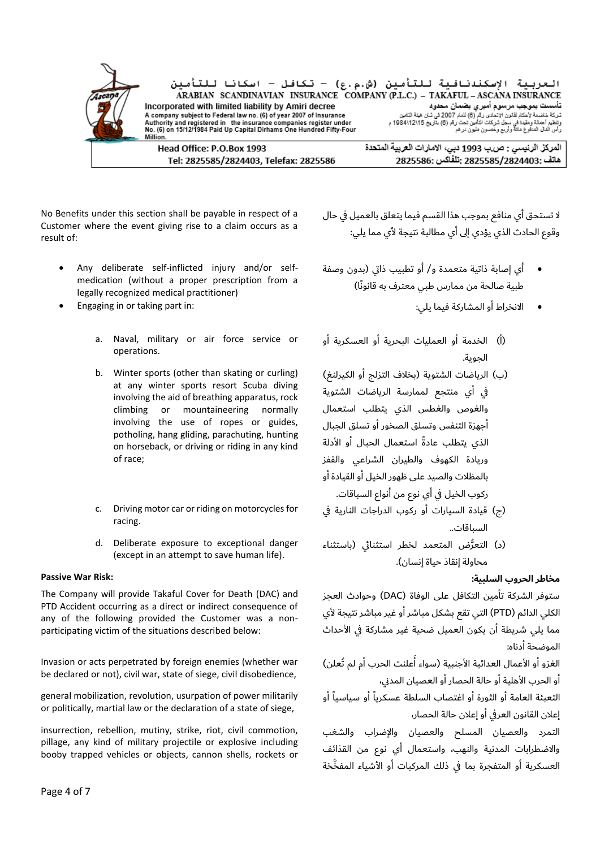

No Benefits under this section shall be payable in respect of a Customer where the event giving rise to a claim occurs as a result of:

- Any deliberate self-inflicted injury and/or selfmedication (without a proper prescription from a legally recognized medical practitioner)
- - a. Naval, military or air force service or operations.
	- b. Winter sports (other than skating or curling) at any winter sports resort Scuba diving involving the aid of breathing apparatus, rock climbing or mountaineering normally involving the use of ropes or guides, potholing, hang gliding, parachuting, hunting on horseback, or driving or riding in any kind of race;
	- c. Driving motor car or riding on motorcycles for racing.
	- d. Deliberate exposure to exceptional danger (except in an attempt to save human life).

The Company will provide Takaful Cover for Death (DAC) and PTD Accident occurring as a direct or indirect consequence of any of the following provided the Customer was a nonparticipating victim of the situations described below:

Invasion or acts perpetrated by foreign enemies (whether war be declared or not), civil war, state of siege, civil disobedience,

general mobilization, revolution, usurpation of power militarily or politically, martial law or the declaration of a state of siege,

insurrection, rebellion, mutiny, strike, riot, civil commotion, pillage, any kind of military projectile or explosive including booby trapped vehicles or objects, cannon shells, rockets or ال تستحق أي منافع بموجب هذا القسم فيما يتعلق بالعميل يف حال وقوع الحادث الذي يؤدي إىل أي مطالبة نتيجة ألي مما يلي:

- أي إصابة ذاتية متعمدة و/ أو تطبيب ذايت )بدون وصفة طبية صالحة من ممارس طبي معترف به قانونًا(
- Engaging in or taking part in: :يلي فيما المشاركة أو االنخراط•
	- )أ( الخدمة أو العمليات البحرية أو العسكرية أو الجوية.
	- (ب) الرياضات الشتوية (بخلاف التزلج أو الكيرلنغ) يف أي منتجع لممارسة الرياضات الشتوية والغوص والغطس الذي يتطلب استعمال أجهزة التنفس وتسلق الصخور أو تسلق الجبال الذي يتطلب عادةً استعمال الحبال أو الأدلة وريادة الكهوف والطيران الشراعي والقفز بالمظالت والصيد على ظهور الخيل أو القيادة أو ركوب الخيل يف أي نوع من أنواع السباقات.
	- (ج) قيادة السيارات أو ركوب الدراجات النارية في السباقات..
	- (د) التعرُّض المتعمد لخطر استثنائي (باستثناء محاولة إنقاذ حياة إنسان).

### **مخاطر الحروب السلبية: :Risk War Passive**

ستوفر الشركة تأمين التكافل على الوفاة )DAC )وحوادث العجز الكلي الدائم )PTD )التي تقع بشكل مباشر أو غير مباشر نتيجة ألي مما يلي شريطة أن يكون العميل ضحية غير مشاركة في الأحداث الموضحة أدناه:

ُالغزو أو الأعمال العدائية الأجنبية (سواء أعلنت الحرب أم لم تُعلن) أو الحرب الأهلية أو حالة الحصار أو العصيان المدني،

التعبئة العامة أو الثورة أو اغتصاب السلطة عسكرياً أو سياسياً أو إعالن القانون العريف أو إعالن حالة الحصار،

التمرد والعصيان المسلح والعصيان واإلضراب والشغب واالضطرابات المدنية والنهب، واستعمال أي نوع من القذائف العسكرية أو المتفجرة بما في ذلك المركبات أو الأشياء المفخَّخة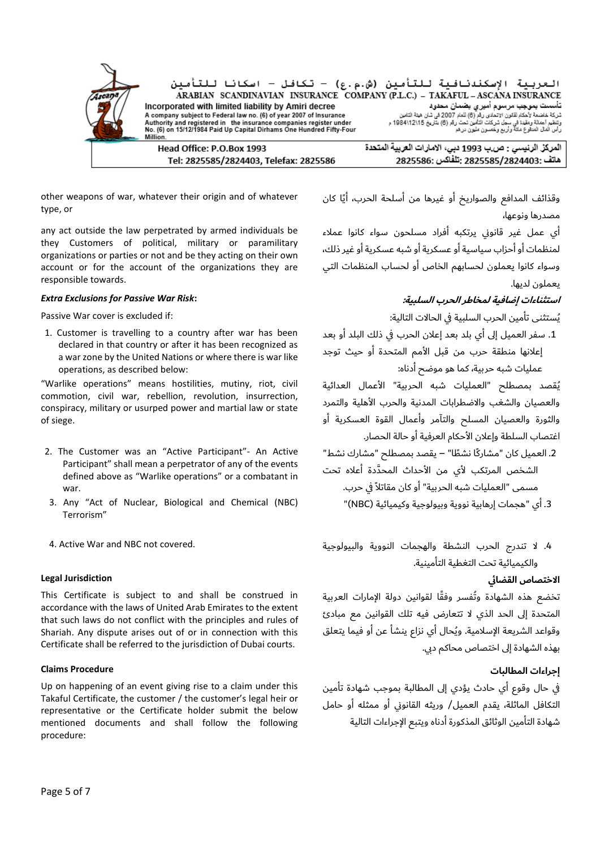

other weapons of war, whatever their origin and of whatever type, or

any act outside the law perpetrated by armed individuals be they Customers of political, military or paramilitary organizations or parties or not and be they acting on their own account or for the account of the organizations they are responsible towards.

### *Extra Exclusions for Passive War Risk***: :السلبية الحرب لمخاطر إضافية استثناءات**

1. Customer is travelling to a country after war has been declared in that country or after it has been recognized as a war zone by the United Nations or where there is war like operations, as described below:

"Warlike operations" means hostilities, mutiny, riot, civil commotion, civil war, rebellion, revolution, insurrection, conspiracy, military or usurped power and martial law or state of siege.

- 2. The Customer was an "Active Participant"- An Active Participant" shall mean a perpetrator of any of the events defined above as "Warlike operations" or a combatant in war.
- 3. Any "Act of Nuclear, Biological and Chemical (NBC) Terrorism"
- 

### **االختصاص القضائ Jurisdiction Legal**

This Certificate is subject to and shall be construed in accordance with the laws of United Arab Emirates to the extent that such laws do not conflict with the principles and rules of Shariah. Any dispute arises out of or in connection with this Certificate shall be referred to the jurisdiction of Dubai courts.

### **إجراءات المطالبات Procedure Claims**

Up on happening of an event giving rise to a claim under this Takaful Certificate, the customer / the customer's legal heir or representative or the Certificate holder submit the below mentioned documents and shall follow the following procedure:

وقذائف المدافع والصواريخ أو غيرها من أسلحة الحرب، أيًا كان مصدرها ونوعها،

أي عمل غير قانوين يرتكبه أفراد مسلحون سواء كانوا عمالء لمنظمات أو أحزاب سياسية أو عسكرية أو شبه عسكرية أو غير ذلك، وسواء كانوا يعملون لحسابهم الخاص أو لحساب المنظمات التي يعملون لديها.

ُيستثنى تأمين الحرب السلبية يف الحاالت التالية: :if excluded is cover War Passive

.1 سفر العميل إىل أي بلد بعد إعالن الحرب يف ذلك البلد أو بعد إعالنها منطقة حرب من قبل األمم المتحدة أو حيث توجد عمليات شبه حربية، كما هو موضح أدناه:

ُيقصد بمصطلح "العمليات شبه الحربية" األعمال العدائية والعصيان والشغب والاضطرابات المدنية والحرب الأهلية والتمرد والثورة والعصيان المسلح والتآمر وأعمال القوة العسكرية أو اغتصاب السلطة وإعالن األحكام العرفية أو حالة الحصار.

.2 العميل كان "مشاركًا نش ًطا" – يقصد بمصطلح "مشارك نشط" الشخص المرتكب لأي من الأحداث المحدَّدة أعلاه تحت مسمى "العمليات شبه الحربية" أو كان مقاتلاً في حرب.

.3 أي "هجمات إرهابية نووية وبيولوجية وكيميائية )NBC ")

.4 ال تندرج الحرب النشطة والهجمات النووية والبيولوجية .covered not NBC and War Active 4. والكيميائية تحت التغطية التأمينية.

تخضع هذه الشهادة وتُفسر وفقًا لقوانين دولة الإمارات العربية المتحدة إىل الحد الذي ال تتعارض فيه تلك القوانين مع مبادئ وقواعد الشريعة اإلسالمية. وُيحال أي نزاع ينشأ عن أو فيما يتعلق بهذه الشهادة إىل اختصاص محاكم ديب.

يف حال وقوع أي حادث يؤدي إىل المطالبة بموجب شهادة تأمين التكافل الماثلة، يقدم العميل/ وريثه القانوين أو ممثله أو حامل شهادة التأمين الوثائق المذكورة أدناه ويتبع اإلجراءات التالية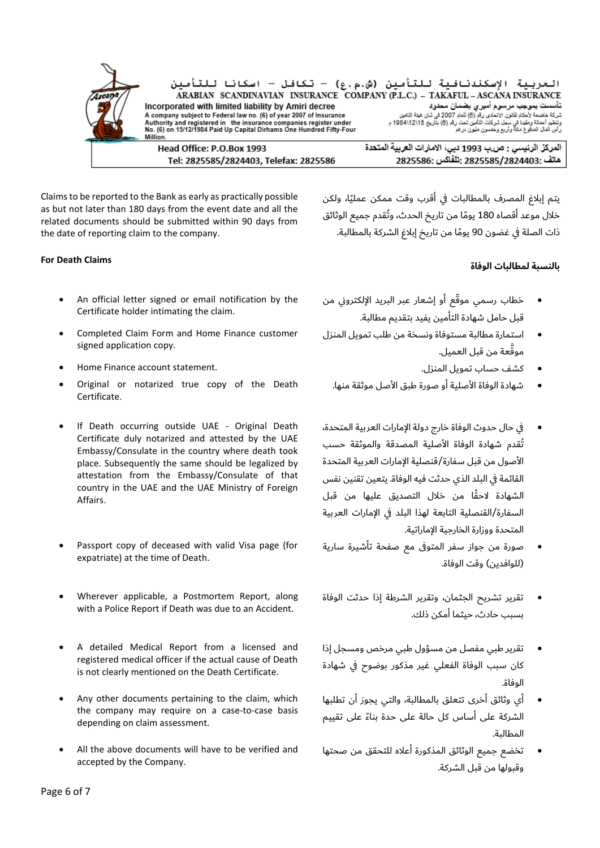العربية الإسكندنافية للتأمين (ش.م.ع) - تكافل - اسكانا للتأمين<br>ARABIAN SCANDINAVIAN INSURANCE COMPANY(P.L.C.)- TAKAFUL-ASCANAINSURANCE ست به معدن منه معدن منه معدن سنة ست معدن المستقدم السابق المستقدم المستقدم المستقدم المستقدم المستقدم المستقدم<br>المستقدم المستقدم المستقدم المستقدم المستقدم المستقدم المستقدم المستقدم المستقدم المستقدم المستقدم المستقدم ا<br> Incorporated with limited liability by Amiri decree A company subject to Federal law no. (6) of year 2007 of Insurance Authority and registered in the insurance companies register under<br>No. (6) on 15/12/1984 Paid Up Capital Dirhams One Hundred Fifty-Four

Head Office: P.O.Box 1993 Tel: 2825585/2824403, Telefax: 2825586 المركز الرنيسي : ص.ب 1993 دبي، الامارات العربية المتحدة 2825585/2824403: تَلْفَاكس :2825586

Claims to be reported to the Bank as early as practically possible as but not later than 180 days from the event date and all the related documents should be submitted within 90 days from the date of reporting claim to the company.

- An official letter signed or email notification by the Certificate holder intimating the claim.
- Completed Claim Form and Home Finance customer signed application copy.
- كشف حساب تمويل المنزل. .statement account Finance Home•
- Original or notarized true copy of the Death Certificate.
- If Death occurring outside UAE Original Death Certificate duly notarized and attested by the UAE Embassy/Consulate in the country where death took place. Subsequently the same should be legalized by attestation from the Embassy/Consulate of that country in the UAE and the UAE Ministry of Foreign Affairs.
- Passport copy of deceased with valid Visa page (for expatriate) at the time of Death.
- Wherever applicable, a Postmortem Report, along with a Police Report if Death was due to an Accident.
- A detailed Medical Report from a licensed and registered medical officer if the actual cause of Death is not clearly mentioned on the Death Certificate.
- Any other documents pertaining to the claim, which the company may require on a case-to-case basis depending on claim assessment.
- All the above documents will have to be verified and accepted by the Company.

يتم إبلاغ المصرف بالمطالبات في أقرب وقت ممكن عمليًا، ولكن خالل موعد أقصاه 180 يو ًما من تاريخ الحدث، وتُقدم جميع الوثائق ذات الصلة في غضون 90 يومًا من تاريخ إبلاغ الشركة بالمطالبة.

## **بالنسبة لمطالبات الوفاة Claims Death For**

- خطاب رسمي موقّع أو إشعار عبر البريد الإلكتروني من قبل حامل شهادة التأمين يفيد بتقديم مطالبة.
- استمارة مطالبة مستوفاة ونسخة من طلب تمويل المنزل مو َّقعة من قبل العميل.
	-
	- شهادة الوفاة الأصلية أو صورة طبق الأصل موثقة منها.
- يف حال حدوث الوفاة خارج دولة اإلمارات العربية المتحدة، تُقدم شهادة الوفاة األصلية المصدقة والموثقة حسب األصول من قبل سفارة/قنصلية اإلمارات العربية المتحدة القائمة يف البلد الذي حدثت فيه الوفاة. يتعين تقنين نفس الشهادة الحًقا من خالل التصديق عليها من قبل السفارة/القنصلية التابعة لهذا البلد يف اإلمارات العربية المتحدة ووزارة الخارجية اإلماراتية.
- صورة من جواز سفر المتوفى مع صفحة تأشيرة سارية (للوافدين) وقت الوفاة.
- تقرير تشريح الجثمان، وتقرير الشرطة إذا حدثت الوفاة بسبب حادث، حيثما أمكن ذلك.
- تقرير طبي مفصل من مسؤول طبي مرخص ومسجل إذا كان سبب الوفاة الفعلي غير مذكور بوضوح يف شهادة الوفاة.
- أي وثائق أخرى تتعلق بالمطالبة، والتي يجوز أن تطلبها الشركة على أساس كل حالة على حدة بناءً على تقييم المطالبة.
- تخضع جميع الوثائق المذكورة أعاله للتحقق من صحتها وقبولها من قبل الشركة.